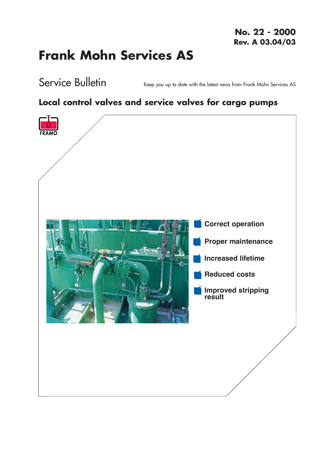# **Frank Mohn Services AS**

Service Bulletin

Keep you up to date with the latest news from Frank Mohn Services AS

### Local control valves and service valves for cargo pumps

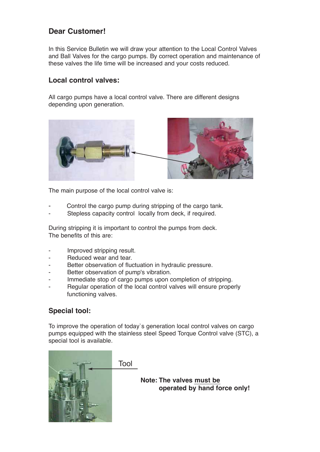#### Dear Customer!

In this Service Bulletin we will draw your attention to the Local Control Valves and Ball Valves for the cargo pumps. By correct operation and maintenance of these valves the life time will be increased and your costs reduced.

#### Local control valves:

All cargo pumps have a local control valve. There are different designs depending upon generation.



The main purpose of the local control valve is:

- Control the cargo pump during stripping of the cargo tank.
- Stepless capacity control locally from deck, if required.

During stripping it is important to control the pumps from deck. The benefits of this are:

- Improved stripping result.
- Reduced wear and tear.
- Better observation of fluctuation in hydraulic pressure.
- Better observation of pump's vibration.
- Immediate stop of cargo pumps upon completion of stripping.
- Regular operation of the local control valves will ensure properly functioning valves.

#### Special tool:

To improve the operation of today`s generation local control valves on cargo pumps equipped with the stainless steel Speed Torque Control valve (STC), a special tool is available.



Tool

Note: The valves must be operated by hand force only!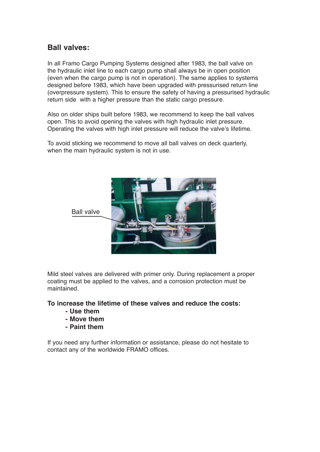#### Ball valves:

In all Framo Cargo Pumping Systems designed after 1983, the ball valve on the hydraulic inlet line to each cargo pump shall always be in open position (even when the cargo pump is not in operation). The same applies to systems designed before 1983, which have been upgraded with pressurised return line (overpressure system). This to ensure the safety of having a pressurised hydraulic return side with a higher pressure than the static cargo pressure.

Also on older ships built before 1983, we recommend to keep the ball valves open. This to avoid opening the valves with high hydraulic inlet pressure. Operating the valves with high inlet pressure will reduce the valve's lifetime.

To avoid sticking we recommend to move all ball valves on deck quarterly, when the main hydraulic system is not in use.



Mild steel valves are delivered with primer only. During replacement a proper coating must be applied to the valves, and a corrosion protection must be maintained.

To increase the lifetime of these valves and reduce the costs:

- Use them
- Move them
- Paint them

If you need any further information or assistance, please do not hesitate to contact any of the worldwide FRAMO offices.